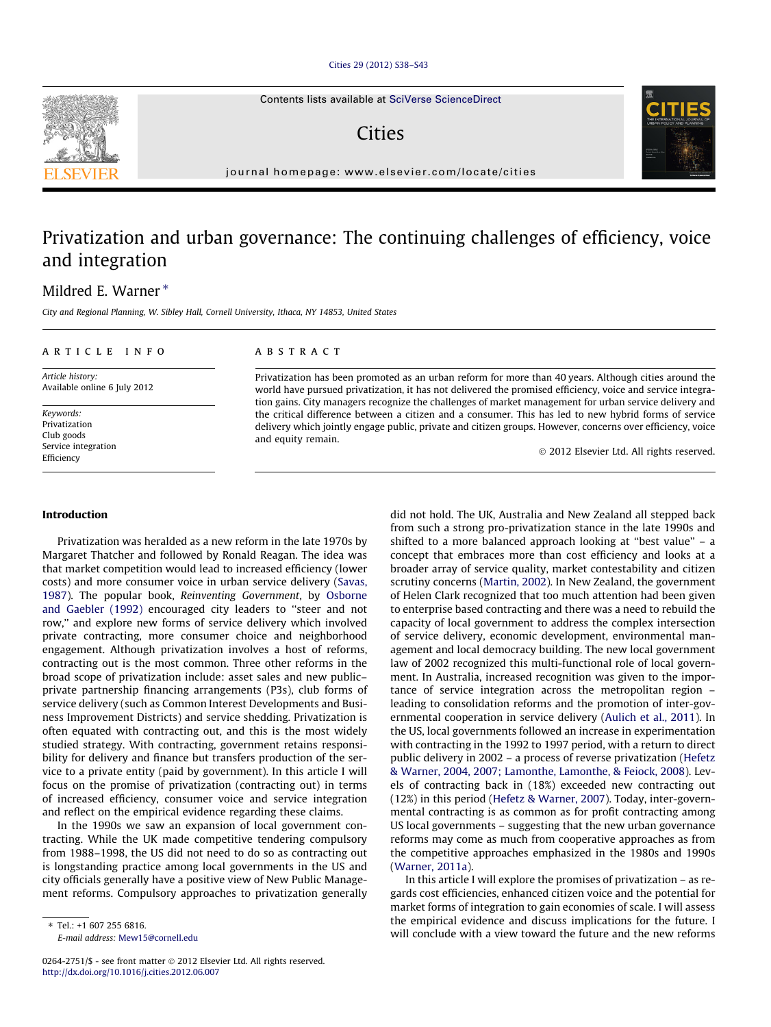#### [Cities 29 \(2012\) S38–S43](http://dx.doi.org/10.1016/j.cities.2012.06.007)

Contents lists available at [SciVerse ScienceDirect](http://www.sciencedirect.com/science/journal/02642751)

## **Cities**

journal homepage: [www.elsevier.com/locate/cities](http://www.elsevier.com/locate/cities)

## Privatization and urban governance: The continuing challenges of efficiency, voice and integration

### Mildred E. Warner  $*$

City and Regional Planning, W. Sibley Hall, Cornell University, Ithaca, NY 14853, United States

#### article info

Article history: Available online 6 July 2012

Keywords: Privatization Club goods Service integration Efficiency

#### **ABSTRACT**

Privatization has been promoted as an urban reform for more than 40 years. Although cities around the world have pursued privatization, it has not delivered the promised efficiency, voice and service integration gains. City managers recognize the challenges of market management for urban service delivery and the critical difference between a citizen and a consumer. This has led to new hybrid forms of service delivery which jointly engage public, private and citizen groups. However, concerns over efficiency, voice and equity remain.

- 2012 Elsevier Ltd. All rights reserved.

#### Introduction

Privatization was heralded as a new reform in the late 1970s by Margaret Thatcher and followed by Ronald Reagan. The idea was that market competition would lead to increased efficiency (lower costs) and more consumer voice in urban service delivery [\(Savas,](#page--1-0) [1987\)](#page--1-0). The popular book, Reinventing Government, by [Osborne](#page--1-0) [and Gaebler \(1992\)](#page--1-0) encouraged city leaders to ''steer and not row,'' and explore new forms of service delivery which involved private contracting, more consumer choice and neighborhood engagement. Although privatization involves a host of reforms, contracting out is the most common. Three other reforms in the broad scope of privatization include: asset sales and new public– private partnership financing arrangements (P3s), club forms of service delivery (such as Common Interest Developments and Business Improvement Districts) and service shedding. Privatization is often equated with contracting out, and this is the most widely studied strategy. With contracting, government retains responsibility for delivery and finance but transfers production of the service to a private entity (paid by government). In this article I will focus on the promise of privatization (contracting out) in terms of increased efficiency, consumer voice and service integration and reflect on the empirical evidence regarding these claims.

In the 1990s we saw an expansion of local government contracting. While the UK made competitive tendering compulsory from 1988–1998, the US did not need to do so as contracting out is longstanding practice among local governments in the US and city officials generally have a positive view of New Public Management reforms. Compulsory approaches to privatization generally did not hold. The UK, Australia and New Zealand all stepped back from such a strong pro-privatization stance in the late 1990s and shifted to a more balanced approach looking at ''best value'' – a concept that embraces more than cost efficiency and looks at a broader array of service quality, market contestability and citizen scrutiny concerns ([Martin, 2002](#page--1-0)). In New Zealand, the government of Helen Clark recognized that too much attention had been given to enterprise based contracting and there was a need to rebuild the capacity of local government to address the complex intersection of service delivery, economic development, environmental management and local democracy building. The new local government law of 2002 recognized this multi-functional role of local government. In Australia, increased recognition was given to the importance of service integration across the metropolitan region – leading to consolidation reforms and the promotion of inter-governmental cooperation in service delivery ([Aulich et al., 2011](#page--1-0)). In the US, local governments followed an increase in experimentation with contracting in the 1992 to 1997 period, with a return to direct public delivery in 2002 – a process of reverse privatization [\(Hefetz](#page--1-0) [& Warner, 2004, 2007; Lamonthe, Lamonthe, & Feiock, 2008](#page--1-0)). Levels of contracting back in (18%) exceeded new contracting out (12%) in this period ([Hefetz & Warner, 2007\)](#page--1-0). Today, inter-governmental contracting is as common as for profit contracting among US local governments – suggesting that the new urban governance reforms may come as much from cooperative approaches as from the competitive approaches emphasized in the 1980s and 1990s ([Warner, 2011a](#page--1-0)).

In this article I will explore the promises of privatization – as regards cost efficiencies, enhanced citizen voice and the potential for market forms of integration to gain economies of scale. I will assess the empirical evidence and discuss implications for the future. I will conclude with a view toward the future and the new reforms





 $*$  Tel: +1 607 255 6816

E-mail address: [Mew15@cornell.edu](mailto:Mew15@cornell.edu)

<sup>0264-2751/\$ -</sup> see front matter © 2012 Elsevier Ltd. All rights reserved. <http://dx.doi.org/10.1016/j.cities.2012.06.007>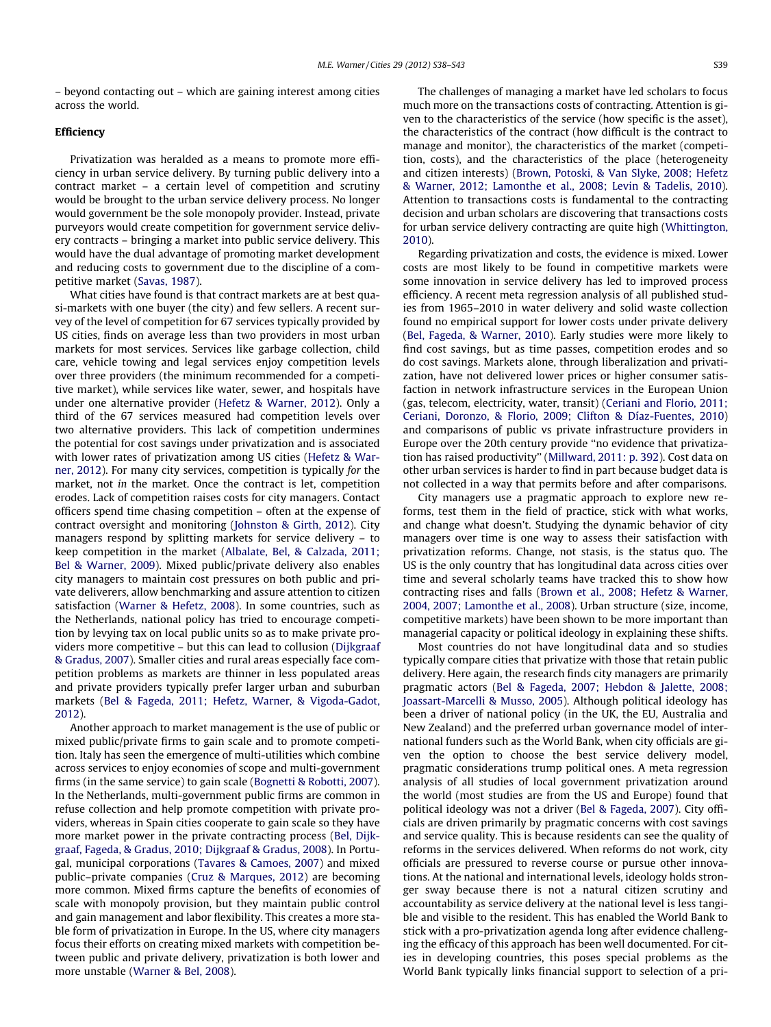– beyond contacting out – which are gaining interest among cities across the world.

#### Efficiency

Privatization was heralded as a means to promote more efficiency in urban service delivery. By turning public delivery into a contract market – a certain level of competition and scrutiny would be brought to the urban service delivery process. No longer would government be the sole monopoly provider. Instead, private purveyors would create competition for government service delivery contracts – bringing a market into public service delivery. This would have the dual advantage of promoting market development and reducing costs to government due to the discipline of a competitive market ([Savas, 1987](#page--1-0)).

What cities have found is that contract markets are at best quasi-markets with one buyer (the city) and few sellers. A recent survey of the level of competition for 67 services typically provided by US cities, finds on average less than two providers in most urban markets for most services. Services like garbage collection, child care, vehicle towing and legal services enjoy competition levels over three providers (the minimum recommended for a competitive market), while services like water, sewer, and hospitals have under one alternative provider ([Hefetz & Warner, 2012](#page--1-0)). Only a third of the 67 services measured had competition levels over two alternative providers. This lack of competition undermines the potential for cost savings under privatization and is associated with lower rates of privatization among US cities [\(Hefetz & War](#page--1-0)[ner, 2012\)](#page--1-0). For many city services, competition is typically for the market, not in the market. Once the contract is let, competition erodes. Lack of competition raises costs for city managers. Contact officers spend time chasing competition – often at the expense of contract oversight and monitoring [\(Johnston & Girth, 2012](#page--1-0)). City managers respond by splitting markets for service delivery – to keep competition in the market [\(Albalate, Bel, & Calzada, 2011;](#page--1-0) [Bel & Warner, 2009\)](#page--1-0). Mixed public/private delivery also enables city managers to maintain cost pressures on both public and private deliverers, allow benchmarking and assure attention to citizen satisfaction [\(Warner & Hefetz, 2008\)](#page--1-0). In some countries, such as the Netherlands, national policy has tried to encourage competition by levying tax on local public units so as to make private providers more competitive – but this can lead to collusion [\(Dijkgraaf](#page--1-0) [& Gradus, 2007\)](#page--1-0). Smaller cities and rural areas especially face competition problems as markets are thinner in less populated areas and private providers typically prefer larger urban and suburban markets [\(Bel & Fageda, 2011; Hefetz, Warner, & Vigoda-Gadot,](#page--1-0) [2012\)](#page--1-0).

Another approach to market management is the use of public or mixed public/private firms to gain scale and to promote competition. Italy has seen the emergence of multi-utilities which combine across services to enjoy economies of scope and multi-government firms (in the same service) to gain scale [\(Bognetti & Robotti, 2007\)](#page--1-0). In the Netherlands, multi-government public firms are common in refuse collection and help promote competition with private providers, whereas in Spain cities cooperate to gain scale so they have more market power in the private contracting process [\(Bel, Dijk](#page--1-0)[graaf, Fageda, & Gradus, 2010; Dijkgraaf & Gradus, 2008\)](#page--1-0). In Portugal, municipal corporations [\(Tavares & Camoes, 2007\)](#page--1-0) and mixed public–private companies ([Cruz & Marques, 2012\)](#page--1-0) are becoming more common. Mixed firms capture the benefits of economies of scale with monopoly provision, but they maintain public control and gain management and labor flexibility. This creates a more stable form of privatization in Europe. In the US, where city managers focus their efforts on creating mixed markets with competition between public and private delivery, privatization is both lower and more unstable ([Warner & Bel, 2008\)](#page--1-0).

The challenges of managing a market have led scholars to focus much more on the transactions costs of contracting. Attention is given to the characteristics of the service (how specific is the asset), the characteristics of the contract (how difficult is the contract to manage and monitor), the characteristics of the market (competition, costs), and the characteristics of the place (heterogeneity and citizen interests) [\(Brown, Potoski, & Van Slyke, 2008; Hefetz](#page--1-0) [& Warner, 2012; Lamonthe et al., 2008; Levin & Tadelis, 2010\)](#page--1-0). Attention to transactions costs is fundamental to the contracting decision and urban scholars are discovering that transactions costs for urban service delivery contracting are quite high [\(Whittington,](#page--1-0) [2010](#page--1-0)).

Regarding privatization and costs, the evidence is mixed. Lower costs are most likely to be found in competitive markets were some innovation in service delivery has led to improved process efficiency. A recent meta regression analysis of all published studies from 1965–2010 in water delivery and solid waste collection found no empirical support for lower costs under private delivery ([Bel, Fageda, & Warner, 2010\)](#page--1-0). Early studies were more likely to find cost savings, but as time passes, competition erodes and so do cost savings. Markets alone, through liberalization and privatization, have not delivered lower prices or higher consumer satisfaction in network infrastructure services in the European Union (gas, telecom, electricity, water, transit) [\(Ceriani and Florio, 2011;](#page--1-0) [Ceriani, Doronzo, & Florio, 2009; Clifton & Díaz-Fuentes, 2010\)](#page--1-0) and comparisons of public vs private infrastructure providers in Europe over the 20th century provide ''no evidence that privatization has raised productivity'' ([Millward, 2011: p. 392](#page--1-0)). Cost data on other urban services is harder to find in part because budget data is not collected in a way that permits before and after comparisons.

City managers use a pragmatic approach to explore new reforms, test them in the field of practice, stick with what works, and change what doesn't. Studying the dynamic behavior of city managers over time is one way to assess their satisfaction with privatization reforms. Change, not stasis, is the status quo. The US is the only country that has longitudinal data across cities over time and several scholarly teams have tracked this to show how contracting rises and falls ([Brown et al., 2008; Hefetz & Warner,](#page--1-0) [2004, 2007; Lamonthe et al., 2008](#page--1-0)). Urban structure (size, income, competitive markets) have been shown to be more important than managerial capacity or political ideology in explaining these shifts.

Most countries do not have longitudinal data and so studies typically compare cities that privatize with those that retain public delivery. Here again, the research finds city managers are primarily pragmatic actors ([Bel & Fageda, 2007; Hebdon & Jalette, 2008;](#page--1-0) [Joassart-Marcelli & Musso, 2005](#page--1-0)). Although political ideology has been a driver of national policy (in the UK, the EU, Australia and New Zealand) and the preferred urban governance model of international funders such as the World Bank, when city officials are given the option to choose the best service delivery model, pragmatic considerations trump political ones. A meta regression analysis of all studies of local government privatization around the world (most studies are from the US and Europe) found that political ideology was not a driver [\(Bel & Fageda, 2007](#page--1-0)). City officials are driven primarily by pragmatic concerns with cost savings and service quality. This is because residents can see the quality of reforms in the services delivered. When reforms do not work, city officials are pressured to reverse course or pursue other innovations. At the national and international levels, ideology holds stronger sway because there is not a natural citizen scrutiny and accountability as service delivery at the national level is less tangible and visible to the resident. This has enabled the World Bank to stick with a pro-privatization agenda long after evidence challenging the efficacy of this approach has been well documented. For cities in developing countries, this poses special problems as the World Bank typically links financial support to selection of a pri-